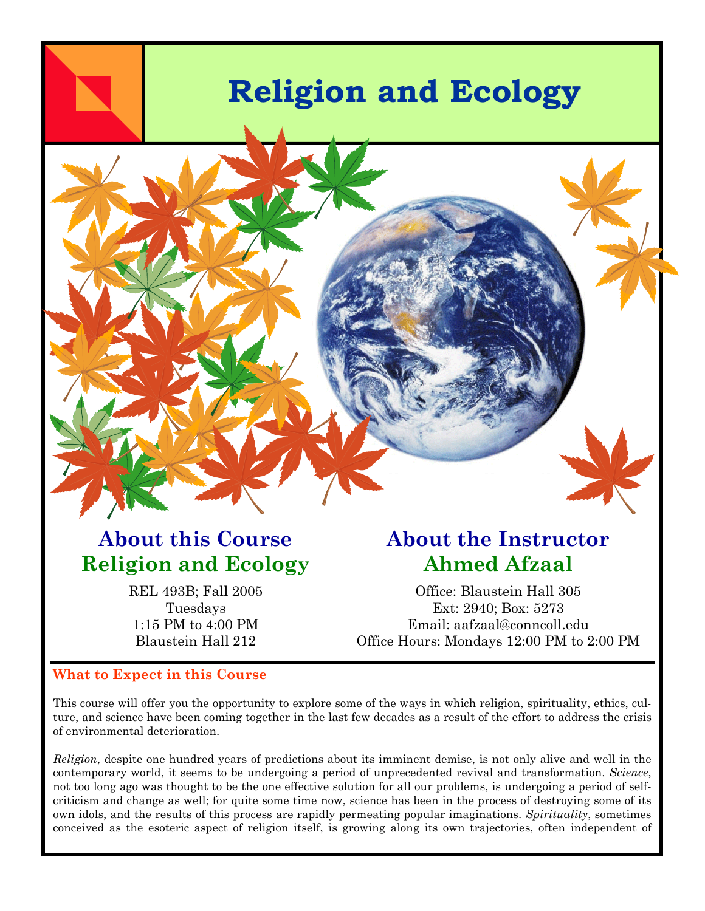

## **About this Course Religion and Ecology**

REL 493B; Fall 2005 Tuesdays 1:15 PM to 4:00 PM Blaustein Hall 212

## **About the Instructor Ahmed Afzaal**

Office: Blaustein Hall 305 Ext: 2940; Box: 5273 Email: aafzaal@conncoll.edu Office Hours: Mondays 12:00 PM to 2:00 PM

### **What to Expect in this Course**

This course will offer you the opportunity to explore some of the ways in which religion, spirituality, ethics, culture, and science have been coming together in the last few decades as a result of the effort to address the crisis of environmental deterioration.

*Religion*, despite one hundred years of predictions about its imminent demise, is not only alive and well in the contemporary world, it seems to be undergoing a period of unprecedented revival and transformation. *Science*, not too long ago was thought to be the one effective solution for all our problems, is undergoing a period of selfcriticism and change as well; for quite some time now, science has been in the process of destroying some of its own idols, and the results of this process are rapidly permeating popular imaginations. *Spirituality*, sometimes conceived as the esoteric aspect of religion itself, is growing along its own trajectories, often independent of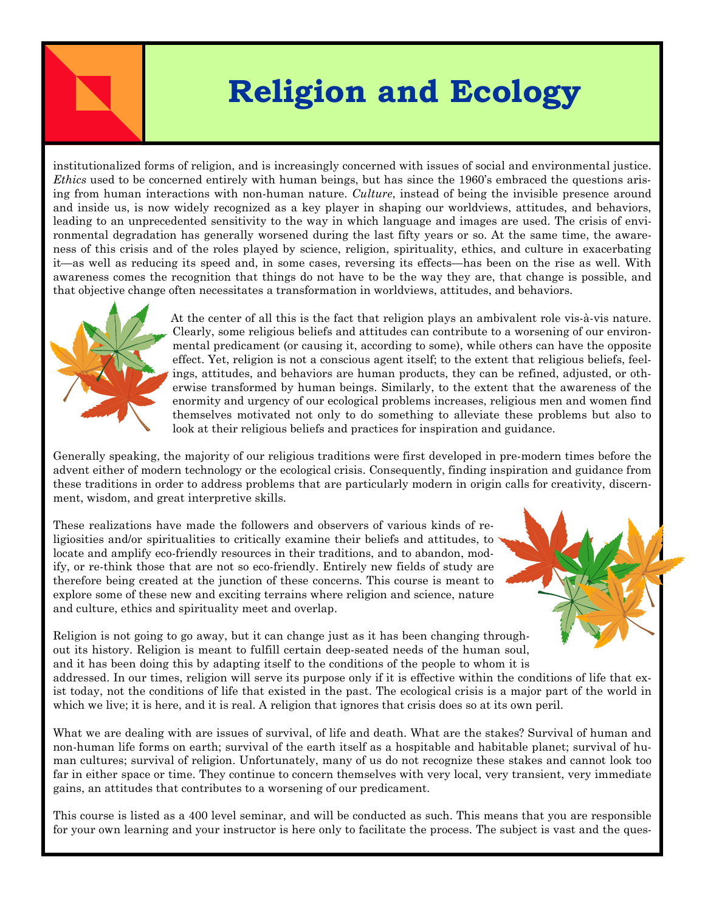# **Religion and Ecology**

institutionalized forms of religion, and is increasingly concerned with issues of social and environmental justice. *Ethics* used to be concerned entirely with human beings, but has since the 1960's embraced the questions arising from human interactions with non-human nature. *Culture*, instead of being the invisible presence around and inside us, is now widely recognized as a key player in shaping our worldviews, attitudes, and behaviors, leading to an unprecedented sensitivity to the way in which language and images are used. The crisis of environmental degradation has generally worsened during the last fifty years or so. At the same time, the awareness of this crisis and of the roles played by science, religion, spirituality, ethics, and culture in exacerbating it—as well as reducing its speed and, in some cases, reversing its effects—has been on the rise as well. With awareness comes the recognition that things do not have to be the way they are, that change is possible, and that objective change often necessitates a transformation in worldviews, attitudes, and behaviors.



At the center of all this is the fact that religion plays an ambivalent role vis-à-vis nature. Clearly, some religious beliefs and attitudes can contribute to a worsening of our environmental predicament (or causing it, according to some), while others can have the opposite effect. Yet, religion is not a conscious agent itself; to the extent that religious beliefs, feelings, attitudes, and behaviors are human products, they can be refined, adjusted, or otherwise transformed by human beings. Similarly, to the extent that the awareness of the enormity and urgency of our ecological problems increases, religious men and women find themselves motivated not only to do something to alleviate these problems but also to look at their religious beliefs and practices for inspiration and guidance.

Generally speaking, the majority of our religious traditions were first developed in pre-modern times before the advent either of modern technology or the ecological crisis. Consequently, finding inspiration and guidance from these traditions in order to address problems that are particularly modern in origin calls for creativity, discernment, wisdom, and great interpretive skills.

These realizations have made the followers and observers of various kinds of religiosities and/or spiritualities to critically examine their beliefs and attitudes, to locate and amplify eco-friendly resources in their traditions, and to abandon, modify, or re-think those that are not so eco-friendly. Entirely new fields of study are therefore being created at the junction of these concerns. This course is meant to explore some of these new and exciting terrains where religion and science, nature and culture, ethics and spirituality meet and overlap.

Religion is not going to go away, but it can change just as it has been changing throughout its history. Religion is meant to fulfill certain deep-seated needs of the human soul, and it has been doing this by adapting itself to the conditions of the people to whom it is addressed. In our times, religion will serve its purpose only if it is effective within the conditions of life that exist today, not the conditions of life that existed in the past. The ecological crisis is a major part of the world in

which we live; it is here, and it is real. A religion that ignores that crisis does so at its own peril.

What we are dealing with are issues of survival, of life and death. What are the stakes? Survival of human and non-human life forms on earth; survival of the earth itself as a hospitable and habitable planet; survival of human cultures; survival of religion. Unfortunately, many of us do not recognize these stakes and cannot look too far in either space or time. They continue to concern themselves with very local, very transient, very immediate gains, an attitudes that contributes to a worsening of our predicament.

This course is listed as a 400 level seminar, and will be conducted as such. This means that you are responsible for your own learning and your instructor is here only to facilitate the process. The subject is vast and the ques-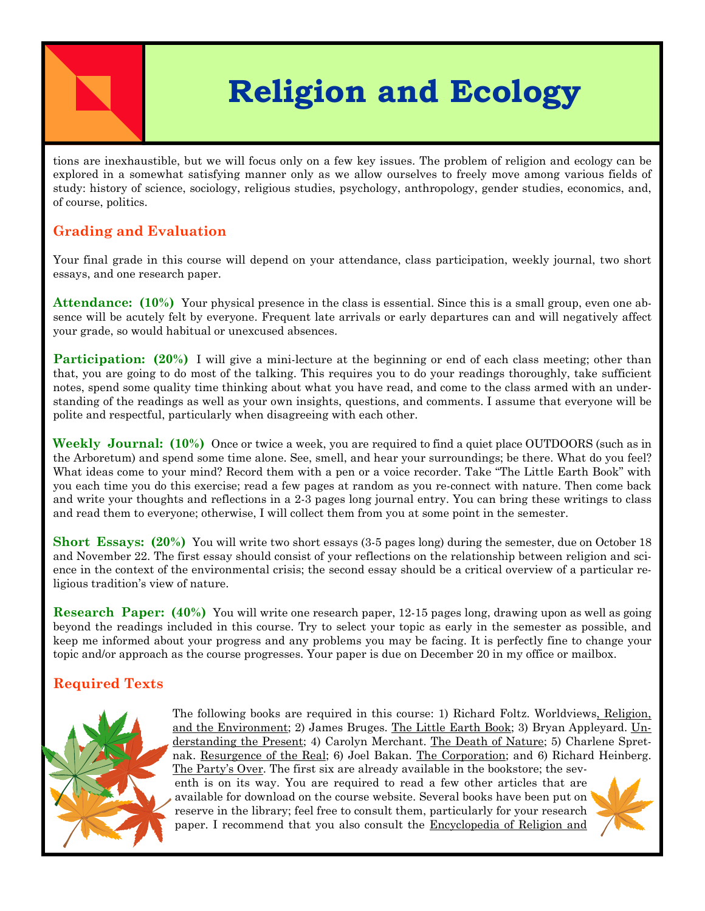# **Religion and Ecology**

tions are inexhaustible, but we will focus only on a few key issues. The problem of religion and ecology can be explored in a somewhat satisfying manner only as we allow ourselves to freely move among various fields of study: history of science, sociology, religious studies, psychology, anthropology, gender studies, economics, and, of course, politics.

### **Grading and Evaluation**

Your final grade in this course will depend on your attendance, class participation, weekly journal, two short essays, and one research paper.

**Attendance: (10%)** Your physical presence in the class is essential. Since this is a small group, even one absence will be acutely felt by everyone. Frequent late arrivals or early departures can and will negatively affect your grade, so would habitual or unexcused absences.

**Participation:** (20%) I will give a mini-lecture at the beginning or end of each class meeting; other than that, you are going to do most of the talking. This requires you to do your readings thoroughly, take sufficient notes, spend some quality time thinking about what you have read, and come to the class armed with an understanding of the readings as well as your own insights, questions, and comments. I assume that everyone will be polite and respectful, particularly when disagreeing with each other.

**Weekly Journal: (10%)** Once or twice a week, you are required to find a quiet place OUTDOORS (such as in the Arboretum) and spend some time alone. See, smell, and hear your surroundings; be there. What do you feel? What ideas come to your mind? Record them with a pen or a voice recorder. Take "The Little Earth Book" with you each time you do this exercise; read a few pages at random as you re-connect with nature. Then come back and write your thoughts and reflections in a 2-3 pages long journal entry. You can bring these writings to class and read them to everyone; otherwise, I will collect them from you at some point in the semester.

**Short Essays: (20%)** You will write two short essays (3-5 pages long) during the semester, due on October 18 and November 22. The first essay should consist of your reflections on the relationship between religion and science in the context of the environmental crisis; the second essay should be a critical overview of a particular religious tradition's view of nature.

**Research Paper: (40%)** You will write one research paper, 12-15 pages long, drawing upon as well as going beyond the readings included in this course. Try to select your topic as early in the semester as possible, and keep me informed about your progress and any problems you may be facing. It is perfectly fine to change your topic and/or approach as the course progresses. Your paper is due on December 20 in my office or mailbox.

### **Required Texts**



The following books are required in this course: 1) Richard Foltz. Worldviews, Religion, and the Environment; 2) James Bruges. The Little Earth Book; 3) Bryan Appleyard. Understanding the Present; 4) Carolyn Merchant. The Death of Nature; 5) Charlene Spretnak. Resurgence of the Real; 6) Joel Bakan. The Corporation; and 6) Richard Heinberg. The Party's Over. The first six are already available in the bookstore; the sev-

enth is on its way. You are required to read a few other articles that are available for download on the course website. Several books have been put on reserve in the library; feel free to consult them, particularly for your research paper. I recommend that you also consult the Encyclopedia of Religion and